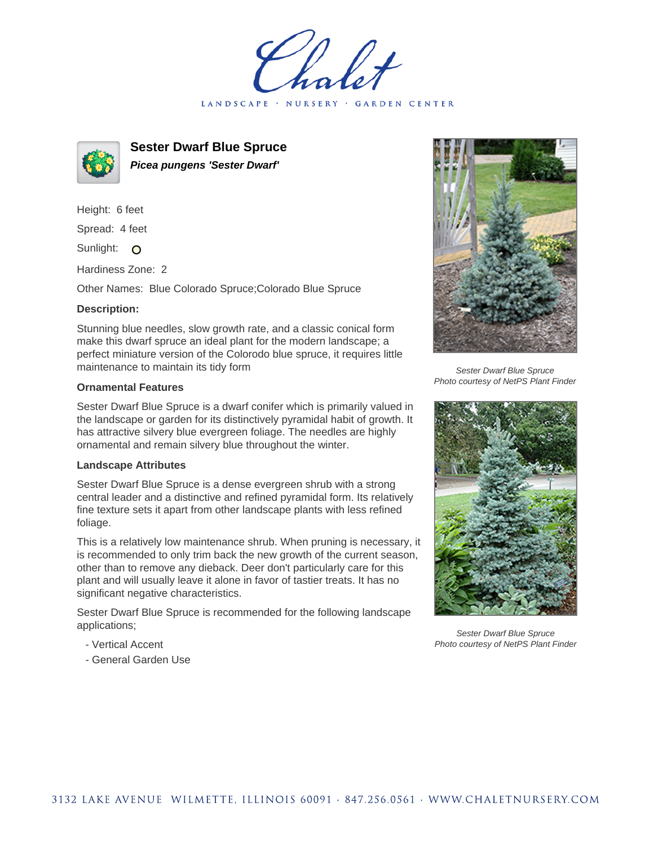holet LANDSCAPE · NURSERY · GARDEN CENTER



**Sester Dwarf Blue Spruce Picea pungens 'Sester Dwarf'**

Height: 6 feet Spread: 4 feet Sunlight: O

Hardiness Zone: 2

Other Names: Blue Colorado Spruce;Colorado Blue Spruce

## **Description:**

Stunning blue needles, slow growth rate, and a classic conical form make this dwarf spruce an ideal plant for the modern landscape; a perfect miniature version of the Colorodo blue spruce, it requires little maintenance to maintain its tidy form

## **Ornamental Features**

Sester Dwarf Blue Spruce is a dwarf conifer which is primarily valued in the landscape or garden for its distinctively pyramidal habit of growth. It has attractive silvery blue evergreen foliage. The needles are highly ornamental and remain silvery blue throughout the winter.

## **Landscape Attributes**

Sester Dwarf Blue Spruce is a dense evergreen shrub with a strong central leader and a distinctive and refined pyramidal form. Its relatively fine texture sets it apart from other landscape plants with less refined foliage.

This is a relatively low maintenance shrub. When pruning is necessary, it is recommended to only trim back the new growth of the current season, other than to remove any dieback. Deer don't particularly care for this plant and will usually leave it alone in favor of tastier treats. It has no significant negative characteristics.

Sester Dwarf Blue Spruce is recommended for the following landscape applications;

- Vertical Accent
- General Garden Use



Sester Dwarf Blue Spruce Photo courtesy of NetPS Plant Finder



Sester Dwarf Blue Spruce Photo courtesy of NetPS Plant Finder